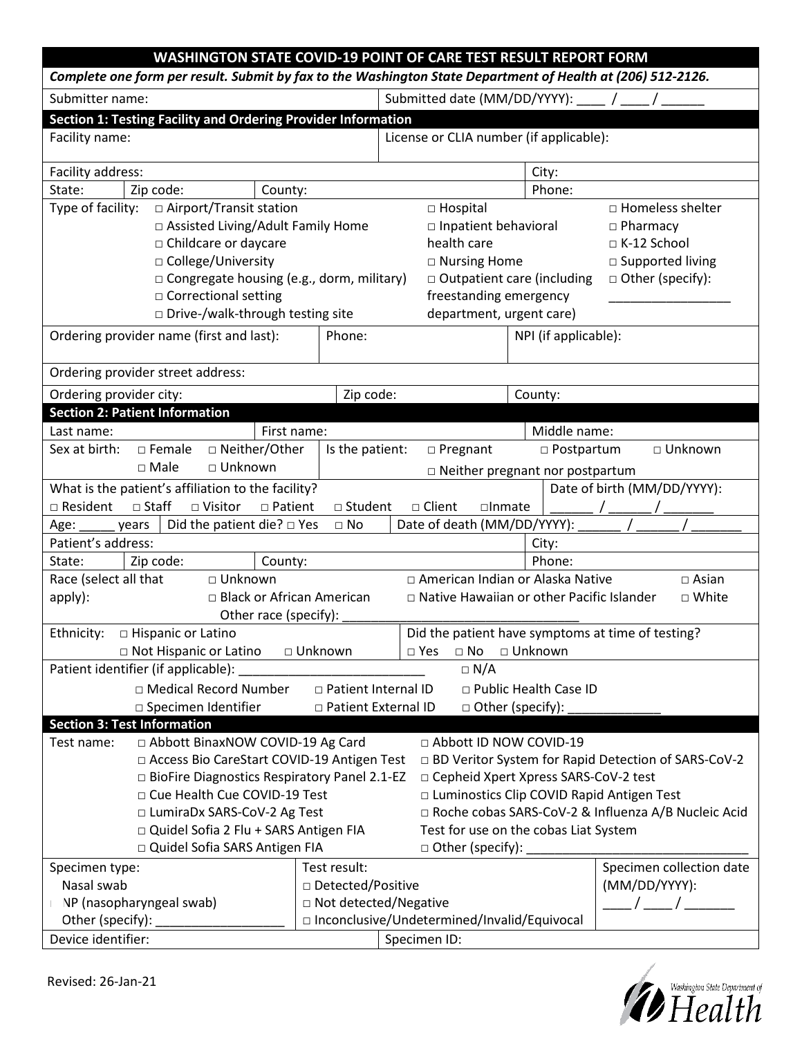| <b>WASHINGTON STATE COVID-19 POINT OF CARE TEST RESULT REPORT FORM</b>                                      |                         |                                  |                                                  |                                   |  |
|-------------------------------------------------------------------------------------------------------------|-------------------------|----------------------------------|--------------------------------------------------|-----------------------------------|--|
| Complete one form per result. Submit by fax to the Washington State Department of Health at (206) 512-2126. |                         |                                  |                                                  |                                   |  |
| Submitted date (MM/DD/YYYY):<br>Submitter name:                                                             |                         |                                  |                                                  |                                   |  |
| <b>Section 1: Testing Facility and Ordering Provider Information</b>                                        |                         |                                  |                                                  |                                   |  |
| License or CLIA number (if applicable):<br>Facility name:                                                   |                         |                                  |                                                  |                                   |  |
| Facility address:                                                                                           |                         |                                  | City:                                            |                                   |  |
| Zip code:<br>State:<br>County:                                                                              |                         |                                  | Phone:                                           |                                   |  |
| □ Airport/Transit station<br>Type of facility:                                                              |                         | □ Hospital<br>□ Homeless shelter |                                                  |                                   |  |
| □ Assisted Living/Adult Family Home                                                                         | □ Inpatient behavioral  |                                  | $\Box$ Pharmacy                                  |                                   |  |
| □ Childcare or daycare                                                                                      | health care             |                                  | □ K-12 School                                    |                                   |  |
| □ College/University                                                                                        |                         | $\Box$ Nursing Home              | □ Supported living                               |                                   |  |
| □ Congregate housing (e.g., dorm, military)                                                                 |                         |                                  | □ Outpatient care (including                     | $\Box$ Other (specify):           |  |
| □ Correctional setting                                                                                      |                         |                                  | freestanding emergency                           |                                   |  |
| D Drive-/walk-through testing site                                                                          |                         |                                  | department, urgent care)                         |                                   |  |
| Ordering provider name (first and last):                                                                    | Phone:                  |                                  | NPI (if applicable):                             |                                   |  |
| Ordering provider street address:                                                                           |                         |                                  |                                                  |                                   |  |
| Ordering provider city:                                                                                     | Zip code:               |                                  | County:                                          |                                   |  |
| <b>Section 2: Patient Information</b>                                                                       |                         |                                  |                                                  |                                   |  |
| Last name:                                                                                                  | First name:             |                                  |                                                  | Middle name:                      |  |
| □ Neither/Other<br>Sex at birth:<br>$\square$ Female                                                        | Is the patient:         | $\Box$ Pregnant                  |                                                  | □ Unknown<br>$\square$ Postpartum |  |
| □ Unknown<br>$\Box$ Male                                                                                    |                         |                                  | $\Box$ Neither pregnant nor postpartum           |                                   |  |
| What is the patient's affiliation to the facility?                                                          |                         |                                  |                                                  | Date of birth (MM/DD/YYYY):       |  |
| □ Resident<br>□ Staff<br>□ Visitor<br>□ Patient                                                             | □ Student               | $\square$ Client                 | $\square$ Inmate                                 |                                   |  |
| Did the patient die? $\square$ Yes<br>Age:<br>years                                                         | $\Box$ No               |                                  | Date of death (MM/DD/YYYY):                      |                                   |  |
| Patient's address:                                                                                          |                         |                                  | City:                                            |                                   |  |
| Zip code:<br>County:<br>State:                                                                              |                         |                                  | Phone:                                           |                                   |  |
| Race (select all that<br>□ Unknown                                                                          |                         |                                  | □ American Indian or Alaska Native               | $\Box$ Asian                      |  |
| □ Black or African American<br>apply):                                                                      |                         |                                  | $\Box$ Native Hawaiian or other Pacific Islander | $\Box$ White                      |  |
| Other race (specify):                                                                                       |                         |                                  |                                                  |                                   |  |
| Ethnicity: $\square$ Hispanic or Latino<br>Did the patient have symptoms at time of testing?                |                         |                                  |                                                  |                                   |  |
| □ Not Hispanic or Latino<br>□ Unknown<br>$\Box$ Unknown<br>$\Box$ Yes<br>$\Box$ No                          |                         |                                  |                                                  |                                   |  |
| Patient identifier (if applicable):<br>$\Box$ N/A                                                           |                         |                                  |                                                  |                                   |  |
| □ Medical Record Number<br>□ Patient Internal ID<br>□ Public Health Case ID                                 |                         |                                  |                                                  |                                   |  |
| □ Specimen Identifier<br>□ Patient External ID<br>$\Box$ Other (specify):                                   |                         |                                  |                                                  |                                   |  |
| <b>Section 3: Test Information</b>                                                                          |                         |                                  |                                                  |                                   |  |
| □ Abbott BinaxNOW COVID-19 Ag Card<br>Test name:<br>□ Abbott ID NOW COVID-19                                |                         |                                  |                                                  |                                   |  |
| □ BD Veritor System for Rapid Detection of SARS-CoV-2<br>□ Access Bio CareStart COVID-19 Antigen Test       |                         |                                  |                                                  |                                   |  |
| □ BioFire Diagnostics Respiratory Panel 2.1-EZ<br>□ Cepheid Xpert Xpress SARS-CoV-2 test                    |                         |                                  |                                                  |                                   |  |
| □ Cue Health Cue COVID-19 Test<br>□ Luminostics Clip COVID Rapid Antigen Test                               |                         |                                  |                                                  |                                   |  |
| □ Roche cobas SARS-CoV-2 & Influenza A/B Nucleic Acid<br>□ LumiraDx SARS-CoV-2 Ag Test                      |                         |                                  |                                                  |                                   |  |
| Test for use on the cobas Liat System<br>□ Quidel Sofia 2 Flu + SARS Antigen FIA                            |                         |                                  |                                                  |                                   |  |
| □ Quidel Sofia SARS Antigen FIA<br>□ Other (specify):                                                       |                         |                                  |                                                  |                                   |  |
| Specimen type:                                                                                              | Test result:            |                                  |                                                  | Specimen collection date          |  |
| Nasal swab                                                                                                  |                         | □ Detected/Positive              |                                                  | (MM/DD/YYYY):                     |  |
| <b>VP</b> (nasopharyngeal swab)                                                                             | □ Not detected/Negative |                                  |                                                  |                                   |  |
| Other (specify):<br>□ Inconclusive/Undetermined/Invalid/Equivocal                                           |                         |                                  |                                                  |                                   |  |
| Device identifier:<br>Specimen ID:                                                                          |                         |                                  |                                                  |                                   |  |

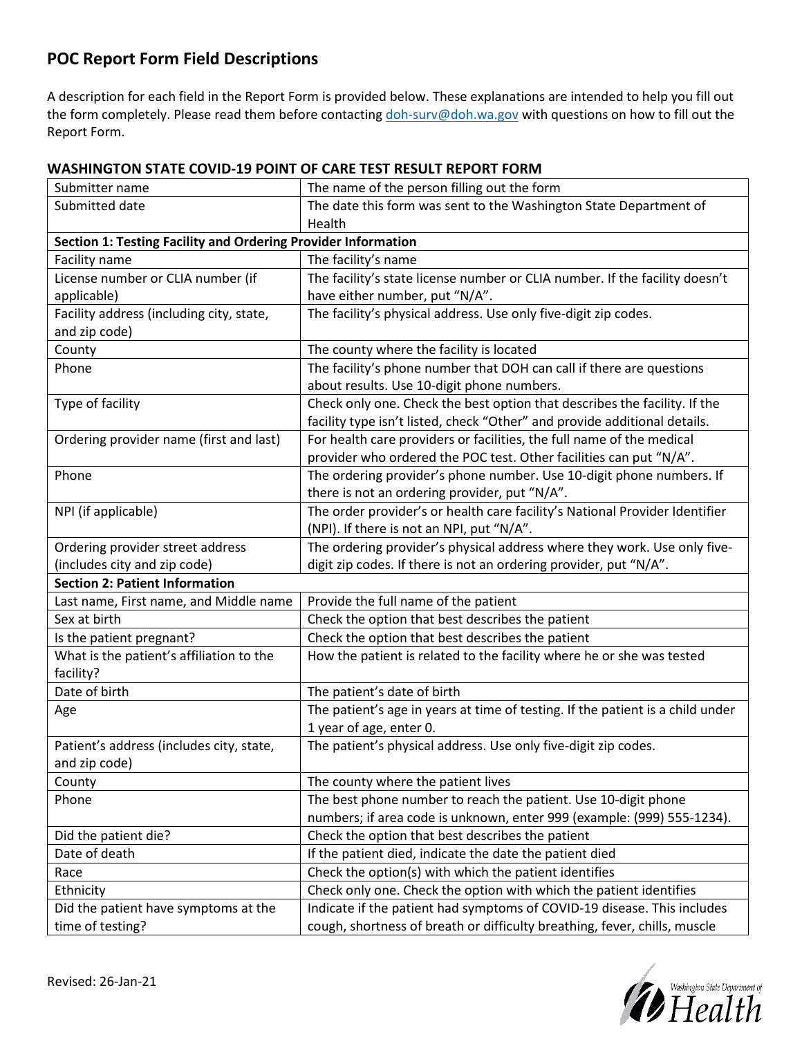## **POC Report Form Field Descriptions**

A description for each field in the Report Form is provided below. These explanations are intended to help you fill out the form completely. Please read them before contacting doh-[surv@doh.wa.gov](mailto:doh-surv@doh.wa.gov) with questions on how to fill out the Report Form.

| Submitter name                                                | The name of the person filling out the form                                    |  |  |
|---------------------------------------------------------------|--------------------------------------------------------------------------------|--|--|
| Submitted date                                                | The date this form was sent to the Washington State Department of              |  |  |
|                                                               | Health                                                                         |  |  |
| Section 1: Testing Facility and Ordering Provider Information |                                                                                |  |  |
| Facility name                                                 | The facility's name                                                            |  |  |
| License number or CLIA number (if                             | The facility's state license number or CLIA number. If the facility doesn't    |  |  |
| applicable)                                                   | have either number, put "N/A".                                                 |  |  |
| Facility address (including city, state,                      | The facility's physical address. Use only five-digit zip codes.                |  |  |
| and zip code)                                                 |                                                                                |  |  |
| County                                                        | The county where the facility is located                                       |  |  |
| Phone                                                         | The facility's phone number that DOH can call if there are questions           |  |  |
|                                                               | about results. Use 10-digit phone numbers.                                     |  |  |
| Type of facility                                              | Check only one. Check the best option that describes the facility. If the      |  |  |
|                                                               | facility type isn't listed, check "Other" and provide additional details.      |  |  |
| Ordering provider name (first and last)                       | For health care providers or facilities, the full name of the medical          |  |  |
|                                                               | provider who ordered the POC test. Other facilities can put "N/A".             |  |  |
| Phone                                                         | The ordering provider's phone number. Use 10-digit phone numbers. If           |  |  |
|                                                               | there is not an ordering provider, put "N/A".                                  |  |  |
| NPI (if applicable)                                           | The order provider's or health care facility's National Provider Identifier    |  |  |
|                                                               | (NPI). If there is not an NPI, put "N/A".                                      |  |  |
| Ordering provider street address                              | The ordering provider's physical address where they work. Use only five-       |  |  |
| (includes city and zip code)                                  | digit zip codes. If there is not an ordering provider, put "N/A".              |  |  |
| <b>Section 2: Patient Information</b>                         |                                                                                |  |  |
| Last name, First name, and Middle name                        | Provide the full name of the patient                                           |  |  |
| Sex at birth                                                  | Check the option that best describes the patient                               |  |  |
| Is the patient pregnant?                                      | Check the option that best describes the patient                               |  |  |
| What is the patient's affiliation to the                      | How the patient is related to the facility where he or she was tested          |  |  |
| facility?                                                     |                                                                                |  |  |
| Date of birth                                                 | The patient's date of birth                                                    |  |  |
| Age                                                           | The patient's age in years at time of testing. If the patient is a child under |  |  |
|                                                               | 1 year of age, enter 0.                                                        |  |  |
| Patient's address (includes city, state,                      | The patient's physical address. Use only five-digit zip codes.                 |  |  |
| and zip code)                                                 |                                                                                |  |  |
| County                                                        | The county where the patient lives                                             |  |  |
| Phone                                                         | The best phone number to reach the patient. Use 10-digit phone                 |  |  |
|                                                               | numbers; if area code is unknown, enter 999 (example: (999) 555-1234).         |  |  |
| Did the patient die?                                          | Check the option that best describes the patient                               |  |  |
| Date of death                                                 | If the patient died, indicate the date the patient died                        |  |  |
| Race                                                          | Check the option(s) with which the patient identifies                          |  |  |
| Ethnicity                                                     | Check only one. Check the option with which the patient identifies             |  |  |
| Did the patient have symptoms at the                          | Indicate if the patient had symptoms of COVID-19 disease. This includes        |  |  |
| time of testing?                                              | cough, shortness of breath or difficulty breathing, fever, chills, muscle      |  |  |

## **WASHINGTON STATE COVID-19 POINT OF CARE TEST RESULT REPORT FORM**